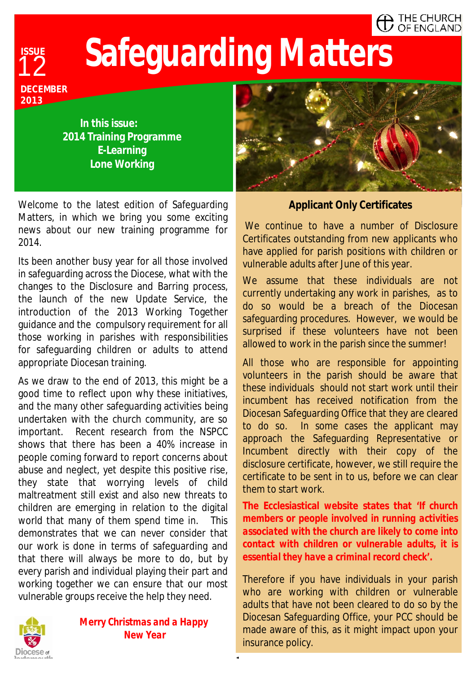#### $\blacksquare$  The Church  $\overline{J}$  OF ENGLAND

# **Safeguarding Matters**

12 **DECEMBER 2013** 

**ISSUE** 

**In this issue: 2014 Training Programme E-Learning Lone Working** 

Welcome to the latest edition of Safeguarding Matters, in which we bring you some exciting news about our new training programme for 2014.

Its been another busy year for all those involved in safeguarding across the Diocese, what with the changes to the Disclosure and Barring process, the launch of the new Update Service, the introduction of the 2013 Working Together guidance and the compulsory requirement for all those working in parishes with responsibilities for safeguarding children or adults to attend appropriate Diocesan training.

As we draw to the end of 2013, this might be a good time to reflect upon why these initiatives, and the many other safeguarding activities being undertaken with the church community, are so important. Recent research from the NSPCC shows that there has been a 40% increase in people coming forward to report concerns about abuse and neglect, yet despite this positive rise, they state that worrying levels of child maltreatment still exist and also new threats to children are emerging in relation to the digital world that many of them spend time in. This demonstrates that we can never consider that our work is done in terms of safeguarding and that there will always be more to do, but by every parish and individual playing their part and working together we can ensure that our most vulnerable groups receive the help they need.



*Merry Christmas and a Happy New Year*

**1**



#### **Applicant Only Certificates**

We continue to have a number of Disclosure Certificates outstanding from new applicants who have applied for parish positions with children or vulnerable adults after June of this year.

We assume that these individuals are not currently undertaking any work in parishes, as to do so would be a breach of the Diocesan safeguarding procedures. However, we would be surprised if these volunteers have not been allowed to work in the parish since the summer!

All those who are responsible for appointing volunteers in the parish should be aware that these individuals should not start work until their incumbent has received notification from the Diocesan Safeguarding Office that they are cleared to do so. In some cases the applicant may approach the Safeguarding Representative or Incumbent directly with their copy of the disclosure certificate, however, we still require the certificate to be sent in to us, before we can clear them to start work.

**The Ecclesiastical website states that '***If church members or people involved in running activities associated with the church are likely to come into contact with children or vulnerable adults, it is essential they have a criminal record check'.* 

Therefore if you have individuals in your parish who are working with children or vulnerable adults that have not been cleared to do so by the Diocesan Safeguarding Office, your PCC should be made aware of this, as it might impact upon your insurance policy.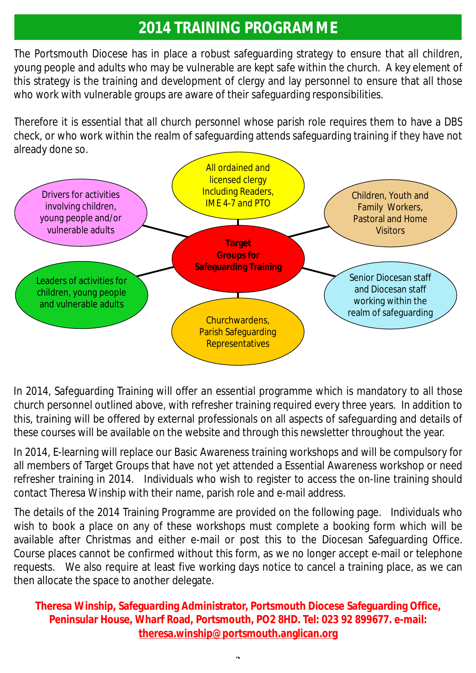## **2014 TRAINING PROGRAMME**

The Portsmouth Diocese has in place a robust safeguarding strategy to ensure that all children, young people and adults who may be vulnerable are kept safe within the church. A key element of this strategy is the training and development of clergy and lay personnel to ensure that all those who work with vulnerable groups are aware of their safeguarding responsibilities.

Therefore it is essential that all church personnel whose parish role requires them to have a DBS check, or who work within the realm of safeguarding attends safeguarding training if they have not already done so.



In 2014, Safeguarding Training will offer an essential programme which is mandatory to all those church personnel outlined above, with refresher training required every three years. In addition to this, training will be offered by external professionals on all aspects of safeguarding and details of these courses will be available on the website and through this newsletter throughout the year.

In 2014, E-learning will replace our Basic Awareness training workshops and will be compulsory for all members of Target Groups that have not yet attended a Essential Awareness workshop or need refresher training in 2014. Individuals who wish to register to access the on-line training should contact Theresa Winship with their name, parish role and e-mail address.

The details of the 2014 Training Programme are provided on the following page. Individuals who wish to book a place on any of these workshops must complete a booking form which will be available after Christmas and either e-mail or post this to the Diocesan Safeguarding Office. Course places cannot be confirmed without this form, as we no longer accept e-mail or telephone requests. We also require at least five working days notice to cancel a training place, as we can then allocate the space to another delegate.

**Theresa Winship, Safeguarding Administrator, Portsmouth Diocese Safeguarding Office, Peninsular House, Wharf Road, Portsmouth, PO2 8HD. Tel: 023 92 899677. e-mail: [theresa.winship@portsmouth.anglican.org](mailto:theresa.winship@portsmouth.anglican.org)** 

**2**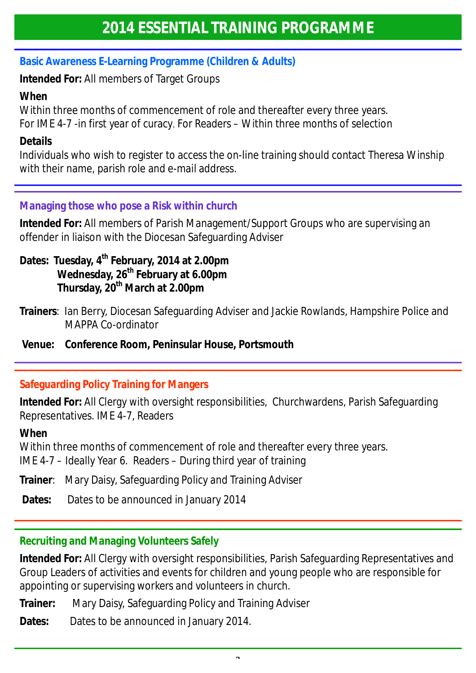### **Basic Awareness E-Learning Programme (Children & Adults)**

**Intended For:** All members of Target Groups

#### **When**

Within three months of commencement of role and thereafter every three years.

For IME 4-7 -in first year of curacy. For Readers – Within three months of selection

#### **Details**

Individuals who wish to register to access the on-line training should contact Theresa Winship with their name, parish role and e-mail address.

#### **Managing those who pose a Risk within church**

**Intended For:** All members of Parish Management/Support Groups who are supervising an offender in liaison with the Diocesan Safeguarding Adviser

- **Dates: Tuesday, 4th February, 2014 at 2.00pm Wednesday, 26th February at 6.00pm Thursday, 20th March at 2.00pm**
- **Trainers**: Ian Berry, Diocesan Safeguarding Adviser and Jackie Rowlands, Hampshire Police and MAPPA Co-ordinator
- **Venue: Conference Room, Peninsular House, Portsmouth**

#### **Safeguarding Policy Training for Mangers**

**Intended For:** All Clergy with oversight responsibilities, Churchwardens, Parish Safeguarding Representatives. IME 4-7, Readers

#### **When**

Within three months of commencement of role and thereafter every three years. IME 4-7 – Ideally Year 6. Readers – During third year of training

**Trainer**: Mary Daisy, Safeguarding Policy and Training Adviser

**Dates:** Dates to be announced in January 2014

#### **Recruiting and Managing Volunteers Safely**

**Intended For:** All Clergy with oversight responsibilities, Parish Safeguarding Representatives and Group Leaders of activities and events for children and young people who are responsible for appointing or supervising workers and volunteers in church.

**Trainer:** Mary Daisy, Safeguarding Policy and Training Adviser

**Dates:** Dates to be announced in January 2014.